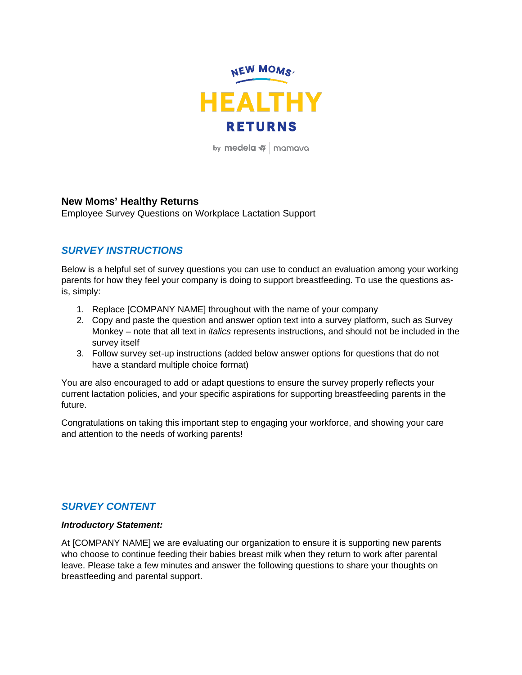

by medela  $\frac{1}{2}$  mamava

### **New Moms' Healthy Returns**

Employee Survey Questions on Workplace Lactation Support

# *SURVEY INSTRUCTIONS*

Below is a helpful set of survey questions you can use to conduct an evaluation among your working parents for how they feel your company is doing to support breastfeeding. To use the questions asis, simply:

- 1. Replace [COMPANY NAME] throughout with the name of your company
- 2. Copy and paste the question and answer option text into a survey platform, such as Survey Monkey – note that all text in *italics* represents instructions, and should not be included in the survey itself
- 3. Follow survey set-up instructions (added below answer options for questions that do not have a standard multiple choice format)

You are also encouraged to add or adapt questions to ensure the survey properly reflects your current lactation policies, and your specific aspirations for supporting breastfeeding parents in the future.

Congratulations on taking this important step to engaging your workforce, and showing your care and attention to the needs of working parents!

## *SURVEY CONTENT*

#### *Introductory Statement:*

At [COMPANY NAME] we are evaluating our organization to ensure it is supporting new parents who choose to continue feeding their babies breast milk when they return to work after parental leave. Please take a few minutes and answer the following questions to share your thoughts on breastfeeding and parental support.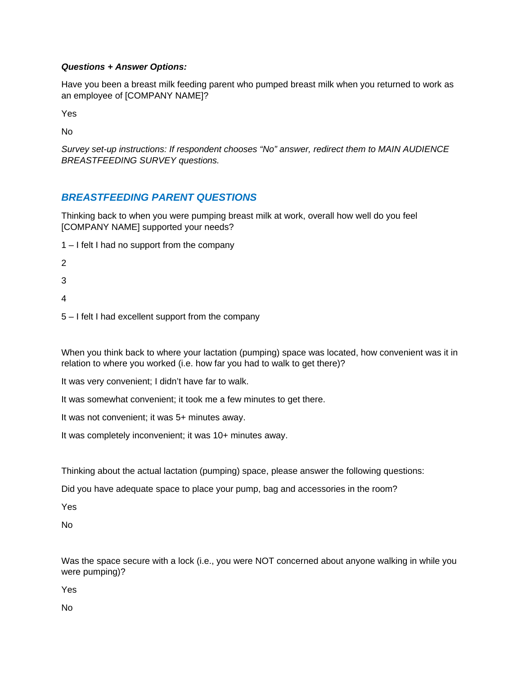#### *Questions + Answer Options:*

Have you been a breast milk feeding parent who pumped breast milk when you returned to work as an employee of [COMPANY NAME]?

Yes

No

*Survey set-up instructions: If respondent chooses "No" answer, redirect them to MAIN AUDIENCE BREASTFEEDING SURVEY questions.*

# *BREASTFEEDING PARENT QUESTIONS*

Thinking back to when you were pumping breast milk at work, overall how well do you feel [COMPANY NAME] supported your needs?

- 1 I felt I had no support from the company
- 2
- 3
- 
- 4
- 5 I felt I had excellent support from the company

When you think back to where your lactation (pumping) space was located, how convenient was it in relation to where you worked (i.e. how far you had to walk to get there)?

- It was very convenient; I didn't have far to walk.
- It was somewhat convenient; it took me a few minutes to get there.
- It was not convenient; it was 5+ minutes away.
- It was completely inconvenient; it was 10+ minutes away.

Thinking about the actual lactation (pumping) space, please answer the following questions:

Did you have adequate space to place your pump, bag and accessories in the room?

Yes

No

Was the space secure with a lock (i.e., you were NOT concerned about anyone walking in while you were pumping)?

Yes

No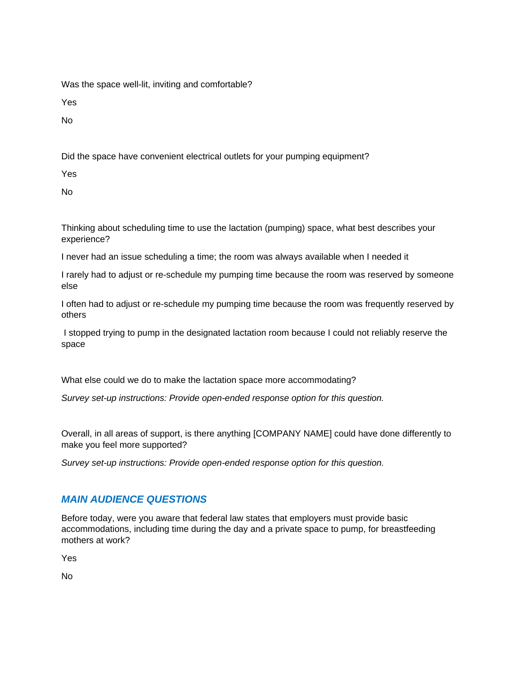Was the space well-lit, inviting and comfortable?

Yes

No

Did the space have convenient electrical outlets for your pumping equipment?

Yes

No

Thinking about scheduling time to use the lactation (pumping) space, what best describes your experience?

I never had an issue scheduling a time; the room was always available when I needed it

I rarely had to adjust or re-schedule my pumping time because the room was reserved by someone else

I often had to adjust or re-schedule my pumping time because the room was frequently reserved by others

I stopped trying to pump in the designated lactation room because I could not reliably reserve the space

What else could we do to make the lactation space more accommodating?

*Survey set-up instructions: Provide open-ended response option for this question.*

Overall, in all areas of support, is there anything [COMPANY NAME] could have done differently to make you feel more supported?

*Survey set-up instructions: Provide open-ended response option for this question.*

## *MAIN AUDIENCE QUESTIONS*

Before today, were you aware that federal law states that employers must provide basic accommodations, including time during the day and a private space to pump, for breastfeeding mothers at work?

Yes

No